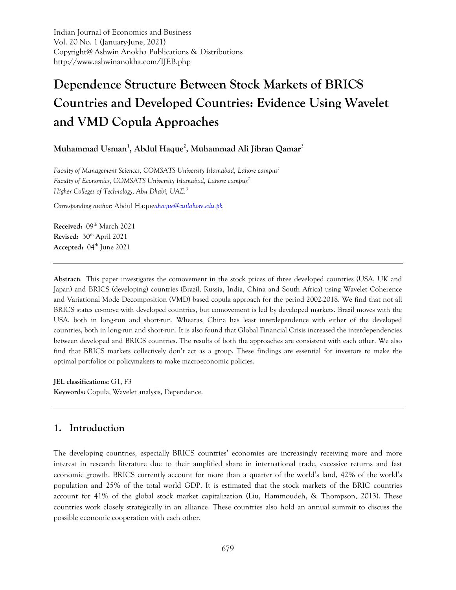Indian Journal of Economics and Business Vol. 20 No. 1 (January-June, 2021) Copyright@ Ashwin Anokha Publications & Distributions http://www.ashwinanokha.com/IJEB.php

# **Dependence Structure Between Stock Markets of BRICS Countries and Developed Countries: Evidence Using Wavelet and VMD Copula Approaches**

# **Muhammad Usman1 , Abdul Haque2 , Muhammad Ali Jibran Qamar**<sup>3</sup>

*Faculty of Management Sciences, COMSATS University Islamabad, Lahore campus1* Faculty of Economics, COMSATS University Islamabad, Lahore campus<sup>2</sup> *Higher Colleges of Technology, Abu Dhabi, UAE.3*

*Corresponding author:* Abdul Haque*[ahaque@cuilahore.edu.pk](mailto:ahaque@cuilahore.edu.pk)* 

Received: 09<sup>th</sup> March 2021 **Revised:** 30th April 2021 Accepted: 04<sup>th</sup> June 2021

**Abstract:** This paper investigates the comovement in the stock prices of three developed countries (USA, UK and Japan) and BRICS (developing) countries (Brazil, Russia, India, China and South Africa) using Wavelet Coherence and Variational Mode Decomposition (VMD) based copula approach for the period 2002-2018. We find that not all BRICS states co-move with developed countries, but comovement is led by developed markets. Brazil moves with the USA, both in long-run and short-run. Whearas, China has least interdependence with either of the developed countries, both in long-run and short-run. It is also found that Global Financial Crisis increased the interdependencies between developed and BRICS countries. The results of both the approaches are consistent with each other. We also find that BRICS markets collectively don't act as a group. These findings are essential for investors to make the optimal portfolios or policymakers to make macroeconomic policies.

**JEL classifications:** G1, F3 **Keywords:** Copula, Wavelet analysis, Dependence.

# **1. Introduction**

The developing countries, especially BRICS countries' economies are increasingly receiving more and more interest in research literature due to their amplified share in international trade, excessive returns and fast economic growth. BRICS currently account for more than a quarter of the world's land, 42% of the world's population and 25% of the total world GDP. It is estimated that the stock markets of the BRIC countries account for 41% of the global stock market capitalization (Liu, Hammoudeh, & Thompson, 2013). These countries work closely strategically in an alliance. These countries also hold an annual summit to discuss the possible economic cooperation with each other.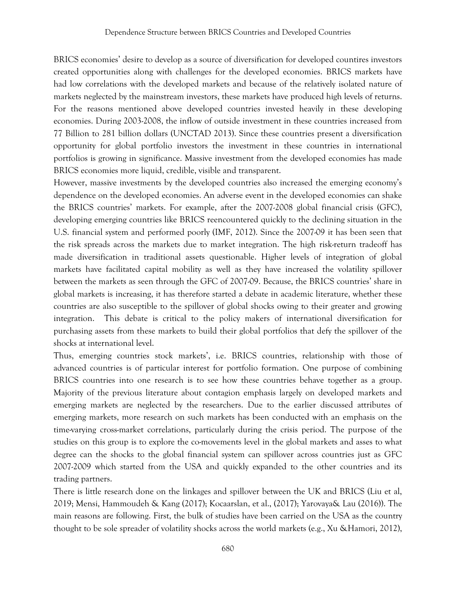BRICS economies' desire to develop as a source of diversification for developed countires investors created opportunities along with challenges for the developed economies. BRICS markets have had low correlations with the developed markets and because of the relatively isolated nature of markets neglected by the mainstream investors, these markets have produced high levels of returns. For the reasons mentioned above developed countries invested heavily in these developing economies. During 2003-2008, the inflow of outside investment in these countries increased from 77 Billion to 281 billion dollars (UNCTAD 2013). Since these countries present a diversification opportunity for global portfolio investors the investment in these countries in international portfolios is growing in significance. Massive investment from the developed economies has made BRICS economies more liquid, credible, visible and transparent.

However, massive investments by the developed countries also increased the emerging economy's dependence on the developed economies. An adverse event in the developed economies can shake the BRICS countries' markets. For example, after the 2007-2008 global financial crisis (GFC), developing emerging countries like BRICS reencountered quickly to the declining situation in the U.S. financial system and performed poorly (IMF, 2012). Since the 2007-09 it has been seen that the risk spreads across the markets due to market integration. The high risk-return tradeoff has made diversification in traditional assets questionable. Higher levels of integration of global markets have facilitated capital mobility as well as they have increased the volatility spillover between the markets as seen through the GFC of 2007-09. Because, the BRICS countries' share in global markets is increasing, it has therefore started a debate in academic literature, whether these countries are also susceptible to the spillover of global shocks owing to their greater and growing integration. This debate is critical to the policy makers of international diversification for purchasing assets from these markets to build their global portfolios that defy the spillover of the shocks at international level.

Thus, emerging countries stock markets', i.e. BRICS countries, relationship with those of advanced countries is of particular interest for portfolio formation. One purpose of combining BRICS countries into one research is to see how these countries behave together as a group. Majority of the previous literature about contagion emphasis largely on developed markets and emerging markets are neglected by the researchers. Due to the earlier discussed attributes of emerging markets, more research on such markets has been conducted with an emphasis on the time-varying cross-market correlations, particularly during the crisis period. The purpose of the studies on this group is to explore the co-movements level in the global markets and asses to what degree can the shocks to the global financial system can spillover across countries just as GFC 2007-2009 which started from the USA and quickly expanded to the other countries and its trading partners.

There is little research done on the linkages and spillover between the UK and BRICS (Liu et al, 2019; Mensi, Hammoudeh & Kang (2017); Kocaarslan, et al., (2017); Yarovaya& Lau (2016)). The main reasons are following. First, the bulk of studies have been carried on the USA as the country thought to be sole spreader of volatility shocks across the world markets (e.g., Xu &Hamori, 2012),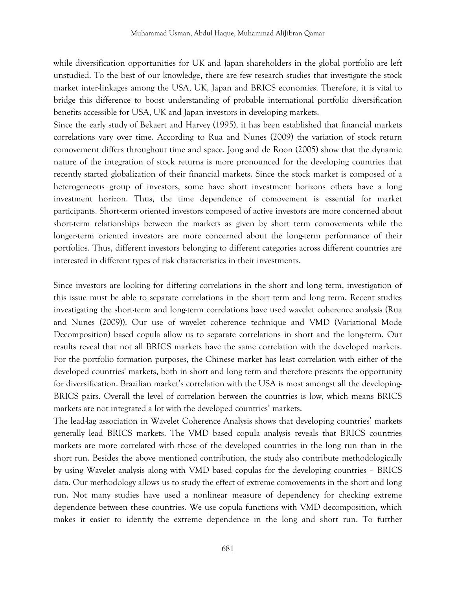while diversification opportunities for UK and Japan shareholders in the global portfolio are left unstudied. To the best of our knowledge, there are few research studies that investigate the stock market inter-linkages among the USA, UK, Japan and BRICS economies. Therefore, it is vital to bridge this difference to boost understanding of probable international portfolio diversification benefits accessible for USA, UK and Japan investors in developing markets.

Since the early study of Bekaert and Harvey (1995), it has been established that financial markets correlations vary over time. According to Rua and Nunes (2009) the variation of stock return comovement differs throughout time and space. Jong and de Roon (2005) show that the dynamic nature of the integration of stock returns is more pronounced for the developing countries that recently started globalization of their financial markets. Since the stock market is composed of a heterogeneous group of investors, some have short investment horizons others have a long investment horizon. Thus, the time dependence of comovement is essential for market participants. Short-term oriented investors composed of active investors are more concerned about short-term relationships between the markets as given by short term comovements while the longer-term oriented investors are more concerned about the long-term performance of their portfolios. Thus, different investors belonging to different categories across different countries are interested in different types of risk characteristics in their investments.

Since investors are looking for differing correlations in the short and long term, investigation of this issue must be able to separate correlations in the short term and long term. Recent studies investigating the short-term and long-term correlations have used wavelet coherence analysis (Rua and Nunes (2009)). Our use of wavelet coherence technique and VMD (Variational Mode Decomposition) based copula allow us to separate correlations in short and the long-term. Our results reveal that not all BRICS markets have the same correlation with the developed markets. For the portfolio formation purposes, the Chinese market has least correlation with either of the developed countries' markets, both in short and long term and therefore presents the opportunity for diversification. Brazilian market's correlation with the USA is most amongst all the developing-BRICS pairs. Overall the level of correlation between the countries is low, which means BRICS markets are not integrated a lot with the developed countries' markets.

The lead-lag association in Wavelet Coherence Analysis shows that developing countries' markets generally lead BRICS markets. The VMD based copula analysis reveals that BRICS countries markets are more correlated with those of the developed countries in the long run than in the short run. Besides the above mentioned contribution, the study also contribute methodologically by using Wavelet analysis along with VMD based copulas for the developing countries – BRICS data. Our methodology allows us to study the effect of extreme comovements in the short and long run. Not many studies have used a nonlinear measure of dependency for checking extreme dependence between these countries. We use copula functions with VMD decomposition, which makes it easier to identify the extreme dependence in the long and short run. To further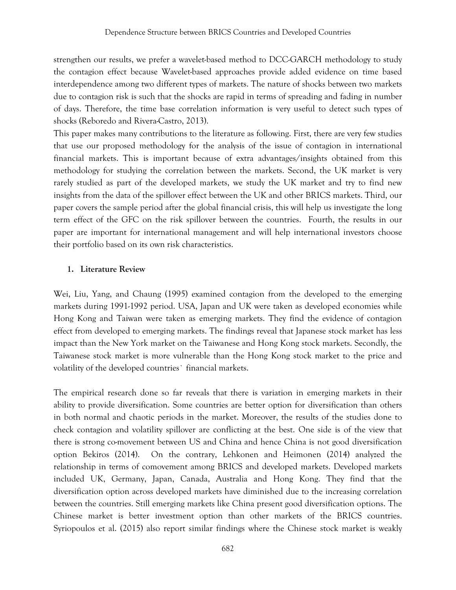strengthen our results, we prefer a wavelet-based method to DCC-GARCH methodology to study the contagion effect because Wavelet-based approaches provide added evidence on time based interdependence among two different types of markets. The nature of shocks between two markets due to contagion risk is such that the shocks are rapid in terms of spreading and fading in number of days. Therefore, the time base correlation information is very useful to detect such types of shocks (Reboredo and Rivera-Castro, 2013).

This paper makes many contributions to the literature as following. First, there are very few studies that use our proposed methodology for the analysis of the issue of contagion in international financial markets. This is important because of extra advantages/insights obtained from this methodology for studying the correlation between the markets. Second, the UK market is very rarely studied as part of the developed markets, we study the UK market and try to find new insights from the data of the spillover effect between the UK and other BRICS markets. Third, our paper covers the sample period after the global financial crisis, this will help us investigate the long term effect of the GFC on the risk spillover between the countries. Fourth, the results in our paper are important for international management and will help international investors choose their portfolio based on its own risk characteristics.

# **1. Literature Review**

Wei, Liu, Yang, and Chaung (1995) examined contagion from the developed to the emerging markets during 1991-1992 period. USA, Japan and UK were taken as developed economies while Hong Kong and Taiwan were taken as emerging markets. They find the evidence of contagion effect from developed to emerging markets. The findings reveal that Japanese stock market has less impact than the New York market on the Taiwanese and Hong Kong stock markets. Secondly, the Taiwanese stock market is more vulnerable than the Hong Kong stock market to the price and volatility of the developed countries` financial markets.

The empirical research done so far reveals that there is variation in emerging markets in their ability to provide diversification. Some countries are better option for diversification than others in both normal and chaotic periods in the market. Moreover, the results of the studies done to check contagion and volatility spillover are conflicting at the best. One side is of the view that there is strong co-movement between US and China and hence China is not good diversification option Bekiros (2014). On the contrary, Lehkonen and Heimonen (2014) analyzed the relationship in terms of comovement among BRICS and developed markets. Developed markets included UK, Germany, Japan, Canada, Australia and Hong Kong. They find that the diversification option across developed markets have diminished due to the increasing correlation between the countries. Still emerging markets like China present good diversification options. The Chinese market is better investment option than other markets of the BRICS countries. Syriopoulos et al. (2015) also report similar findings where the Chinese stock market is weakly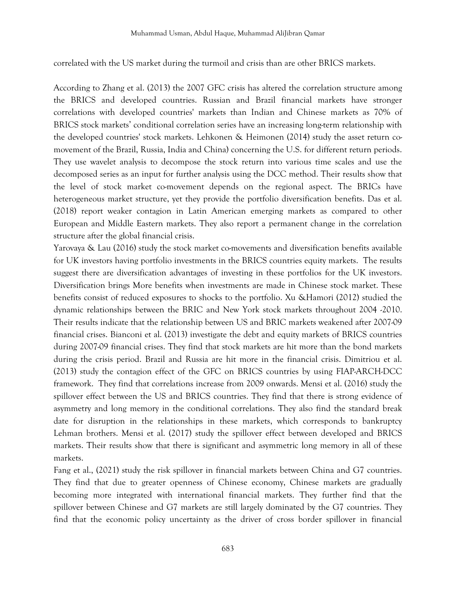correlated with the US market during the turmoil and crisis than are other BRICS markets.

According to Zhang et al. (2013) the 2007 GFC crisis has altered the correlation structure among the BRICS and developed countries. Russian and Brazil financial markets have stronger correlations with developed countries' markets than Indian and Chinese markets as 70% of BRICS stock markets' conditional correlation series have an increasing long-term relationship with the developed countries' stock markets. Lehkonen & Heimonen (2014) study the asset return comovement of the Brazil, Russia, India and China) concerning the U.S. for different return periods. They use wavelet analysis to decompose the stock return into various time scales and use the decomposed series as an input for further analysis using the DCC method. Their results show that the level of stock market co-movement depends on the regional aspect. The BRICs have heterogeneous market structure, yet they provide the portfolio diversification benefits. Das et al. (2018) report weaker contagion in Latin American emerging markets as compared to other European and Middle Eastern markets. They also report a permanent change in the correlation structure after the global financial crisis.

Yarovaya & Lau (2016) study the stock market co-movements and diversification benefits available for UK investors having portfolio investments in the BRICS countries equity markets. The results suggest there are diversification advantages of investing in these portfolios for the UK investors. Diversification brings More benefits when investments are made in Chinese stock market. These benefits consist of reduced exposures to shocks to the portfolio. Xu &Hamori (2012) studied the dynamic relationships between the BRIC and New York stock markets throughout 2004 -2010. Their results indicate that the relationship between US and BRIC markets weakened after 2007-09 financial crises. Bianconi et al. (2013) investigate the debt and equity markets of BRICS countries during 2007-09 financial crises. They find that stock markets are hit more than the bond markets during the crisis period. Brazil and Russia are hit more in the financial crisis. Dimitriou et al. (2013) study the contagion effect of the GFC on BRICS countries by using FIAP-ARCH-DCC framework. They find that correlations increase from 2009 onwards. Mensi et al. (2016) study the spillover effect between the US and BRICS countries. They find that there is strong evidence of asymmetry and long memory in the conditional correlations. They also find the standard break date for disruption in the relationships in these markets, which corresponds to bankruptcy Lehman brothers. Mensi et al. (2017) study the spillover effect between developed and BRICS markets. Their results show that there is significant and asymmetric long memory in all of these markets.

Fang et al., (2021) study the risk spillover in financial markets between China and G7 countries. They find that due to greater openness of Chinese economy, Chinese markets are gradually becoming more integrated with international financial markets. They further find that the spillover between Chinese and G7 markets are still largely dominated by the G7 countries. They find that the economic policy uncertainty as the driver of cross border spillover in financial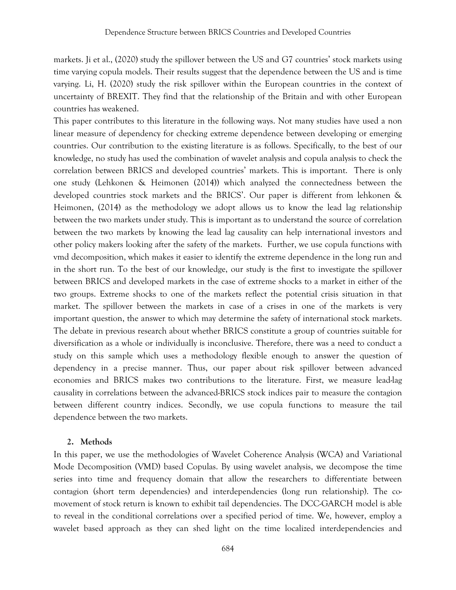markets. Ji et al., (2020) study the spillover between the US and G7 countries' stock markets using time varying copula models. Their results suggest that the dependence between the US and is time varying. Li, H. (2020) study the risk spillover within the European countries in the context of uncertainty of BREXIT. They find that the relationship of the Britain and with other European countries has weakened.

This paper contributes to this literature in the following ways. Not many studies have used a non linear measure of dependency for checking extreme dependence between developing or emerging countries. Our contribution to the existing literature is as follows. Specifically, to the best of our knowledge, no study has used the combination of wavelet analysis and copula analysis to check the correlation between BRICS and developed countries' markets. This is important. There is only one study (Lehkonen & Heimonen (2014)) which analyzed the connectedness between the developed countries stock markets and the BRICS'. Our paper is different from lehkonen & Heimonen, (2014) as the methodology we adopt allows us to know the lead lag relationship between the two markets under study. This is important as to understand the source of correlation between the two markets by knowing the lead lag causality can help international investors and other policy makers looking after the safety of the markets. Further, we use copula functions with vmd decomposition, which makes it easier to identify the extreme dependence in the long run and in the short run. To the best of our knowledge, our study is the first to investigate the spillover between BRICS and developed markets in the case of extreme shocks to a market in either of the two groups. Extreme shocks to one of the markets reflect the potential crisis situation in that market. The spillover between the markets in case of a crises in one of the markets is very important question, the answer to which may determine the safety of international stock markets. The debate in previous research about whether BRICS constitute a group of countries suitable for diversification as a whole or individually is inconclusive. Therefore, there was a need to conduct a study on this sample which uses a methodology flexible enough to answer the question of dependency in a precise manner. Thus, our paper about risk spillover between advanced economies and BRICS makes two contributions to the literature. First, we measure lead-lag causality in correlations between the advanced-BRICS stock indices pair to measure the contagion between different country indices. Secondly, we use copula functions to measure the tail dependence between the two markets.

### **2. Methods**

In this paper, we use the methodologies of Wavelet Coherence Analysis (WCA) and Variational Mode Decomposition (VMD) based Copulas. By using wavelet analysis, we decompose the time series into time and frequency domain that allow the researchers to differentiate between contagion (short term dependencies) and interdependencies (long run relationship). The comovement of stock return is known to exhibit tail dependencies. The DCC-GARCH model is able to reveal in the conditional correlations over a specified period of time. We, however, employ a wavelet based approach as they can shed light on the time localized interdependencies and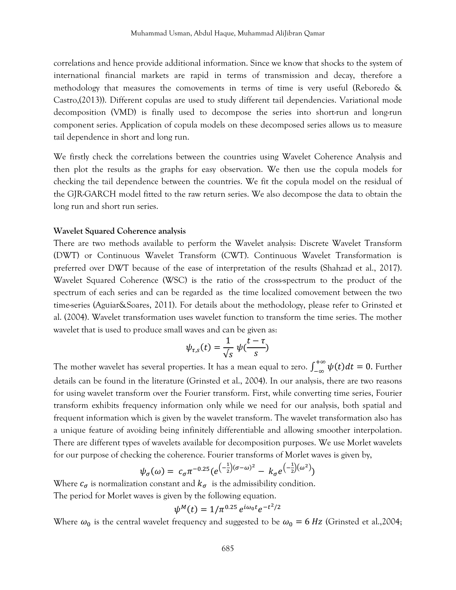correlations and hence provide additional information. Since we know that shocks to the system of international financial markets are rapid in terms of transmission and decay, therefore a methodology that measures the comovements in terms of time is very useful (Reboredo & Castro,(2013)). Different copulas are used to study different tail dependencies. Variational mode decomposition (VMD) is finally used to decompose the series into short-run and long-run component series. Application of copula models on these decomposed series allows us to measure tail dependence in short and long run.

We firstly check the correlations between the countries using Wavelet Coherence Analysis and then plot the results as the graphs for easy observation. We then use the copula models for checking the tail dependence between the countries. We fit the copula model on the residual of the GJR-GARCH model fitted to the raw return series. We also decompose the data to obtain the long run and short run series.

#### **Wavelet Squared Coherence analysis**

There are two methods available to perform the Wavelet analysis: Discrete Wavelet Transform (DWT) or Continuous Wavelet Transform (CWT). Continuous Wavelet Transformation is preferred over DWT because of the ease of interpretation of the results (Shahzad et al., 2017). Wavelet Squared Coherence (WSC) is the ratio of the cross-spectrum to the product of the spectrum of each series and can be regarded as the time localized comovement between the two time-series (Aguiar&Soares, 2011). For details about the methodology, please refer to Grinsted et al. (2004). Wavelet transformation uses wavelet function to transform the time series. The mother wavelet that is used to produce small waves and can be given as:

$$
\psi_{\tau,s}(t) = \frac{1}{\sqrt{s}} \psi(\frac{t-\tau}{s})
$$

The mother wavelet has several properties. It has a mean equal to zero.  $\int_{-\infty}^{+\infty} \psi(t) dt = 0$ . Further details can be found in the literature (Grinsted et al., 2004). In our analysis, there are two reasons for using wavelet transform over the Fourier transform. First, while converting time series, Fourier transform exhibits frequency information only while we need for our analysis, both spatial and frequent information which is given by the wavelet transform. The wavelet transformation also has a unique feature of avoiding being infinitely differentiable and allowing smoother interpolation. There are different types of wavelets available for decomposition purposes. We use Morlet wavelets for our purpose of checking the coherence. Fourier transforms of Morlet waves is given by,

$$
\psi_{\sigma}(\omega) = c_{\sigma} \pi^{-0.25} (e^{\left(-\frac{1}{2}\right)(\sigma-\omega)^2} - k_{\sigma} e^{\left(-\frac{1}{2}\right)(\omega^2)} )
$$

Where  $c_{\sigma}$  is normalization constant and  $k_{\sigma}$  is the admissibility condition. The period for Morlet waves is given by the following equation.

$$
\psi^M(t) = 1/\pi^{0.25} e^{i\omega_0 t} e^{-t^2/2}
$$

Where  $\omega_0$  is the central wavelet frequency and suggested to be  $\omega_0 = 6 Hz$  (Grinsted et al.,2004;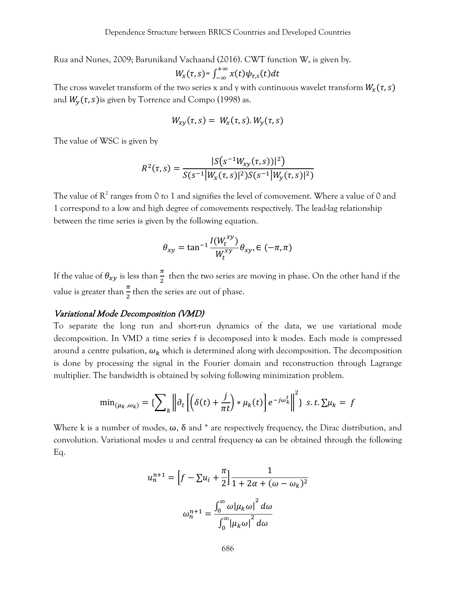Rua and Nunes, 2009; Barunikand Vachaand (2016). CWT function  $W_x$  is given by.

$$
W_{x}(\tau,s)=\int_{-\infty}^{+\infty}x(t)\psi_{\tau,s}(t)dt
$$

The cross wavelet transform of the two series x and y with continuous wavelet transform  $W_x(\tau, s)$ and  $W_y(\tau, s)$  is given by Torrence and Compo (1998) as.

$$
W_{xy}(\tau,s) = W_x(\tau,s) . W_y(\tau,s)
$$

The value of WSC is given by

$$
R^{2}(\tau,s) = \frac{|S(s^{-1}W_{xy}(\tau,s))|^{2})}{S(s^{-1}|W_{x}(\tau,s)|^{2})S(s^{-1}|W_{y}(\tau,s)|^{2})}
$$

The value of  $R^2$  ranges from 0 to 1 and signifies the level of comovement. Where a value of 0 and 1 correspond to a low and high degree of comovements respectively. The lead-lag relationship between the time series is given by the following equation.

$$
\theta_{xy} = \tan^{-1} \frac{I(W_t^{xy})}{W_t^{xy}} \theta_{xy}, \in (-\pi, \pi)
$$

If the value of  $\theta_{xy}$  is less than  $\frac{\pi}{2}$  then the two series are moving in phase. On the other hand if the value is greater than  $\frac{\pi}{2}$  then the series are out of phase.

### Variational Mode Decomposition (VMD)

To separate the long run and short-run dynamics of the data, we use variational mode decomposition. In VMD a time series f is decomposed into k modes. Each mode is compressed around a centre pulsation,  $\omega_k$  which is determined along with decomposition. The decomposition is done by processing the signal in the Fourier domain and reconstruction through Lagrange multiplier. The bandwidth is obtained by solving following minimization problem.

$$
\min_{(\mu_k, \omega_k)} = \left\{ \sum_{k} \left\| \partial_t \left[ \left( \delta(t) + \frac{j}{\pi t} \right) * \mu_k(t) \right] e^{-j\omega_k^t} \right\|^2 \right\} \, s.t. \, \sum \mu_k = f
$$

Where k is a number of modes,  $\omega$ ,  $\delta$  and  $*$  are respectively frequency, the Dirac distribution, and convolution. Variational modes u and central frequency  $\omega$  can be obtained through the following Eq.

$$
u_n^{n+1} = \left[f - \sum u_i + \frac{\pi}{2}\right] \frac{1}{1 + 2\alpha + (\omega - \omega_k)^2}
$$

$$
\omega_n^{n+1} = \frac{\int_0^\infty \omega |\mu_k \omega|^2 d\omega}{\int_0^\infty |\mu_k \omega|^2 d\omega}
$$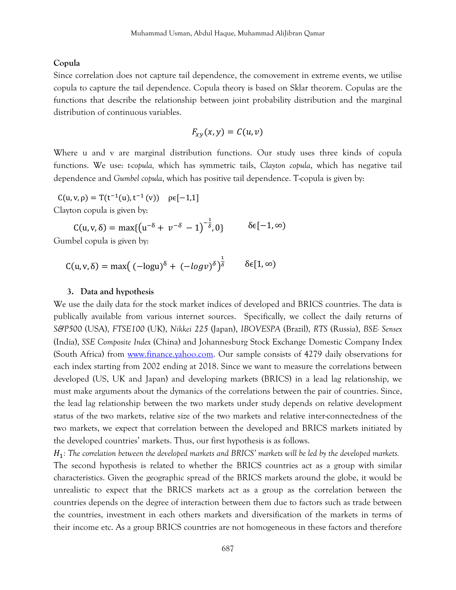#### **Copula**

Since correlation does not capture tail dependence, the comovement in extreme events, we utilise copula to capture the tail dependence. Copula theory is based on Sklar theorem. Copulas are the functions that describe the relationship between joint probability distribution and the marginal distribution of continuous variables.

$$
F_{xy}(x,y)=C(u,v)
$$

Where u and v are marginal distribution functions. Our study uses three kinds of copula functions. We use: *t-copula,* which has symmetric tails, *Clayton copula*, which has negative tail dependence and *Gumbel copula*, which has positive tail dependence. T-copula is given by:

C(u, v,  $\rho$ ) = T(t<sup>-1</sup>(u), t<sup>-1</sup>(v))  $\rho \epsilon$ [-1,1] Clayton copula is given by:

 $C(u, v, \delta) = \max\{(u^{-\delta} + v^{-\delta} - 1)^{-\frac{1}{\delta}}\}$  $\delta \epsilon [-1, \infty)$ Gumbel copula is given by:

$$
C(u, v, \delta) = \max((-\log u)^{\delta} + (-\log v)^{\delta})^{\frac{1}{\delta}} \qquad \delta \in [1, \infty)
$$

#### **3. Data and hypothesis**

We use the daily data for the stock market indices of developed and BRICS countries. The data is publically available from various internet sources. Specifically, we collect the daily returns of *S&P500* (USA), *FTSE100* (UK), *Nikkei 225* (Japan), *IBOVESPA* (Brazil), *RTS* (Russia), *BSE- Sensex* (India), *SSE Composite Index* (China) and Johannesburg Stock Exchange Domestic Company Index (South Africa) from [www.finance.yahoo.com.](http://www.finance.yahoo.com/) Our sample consists of 4279 daily observations for each index starting from 2002 ending at 2018. Since we want to measure the correlations between developed (US, UK and Japan) and developing markets (BRICS) in a lead lag relationship, we must make arguments about the dymanics of the correlations between the pair of countries. Since, the lead lag relationship between the two markets under study depends on relative development status of the two markets, relative size of the two markets and relative inter-connectedness of the two markets, we expect that correlation between the developed and BRICS markets initiated by the developed countries' markets. Thus, our first hypothesis is as follows.

1*: The correlation between the developed markets and BRICS' markets will be led by the developed markets.*  The second hypothesis is related to whether the BRICS countries act as a group with similar characteristics. Given the geographic spread of the BRICS markets around the globe, it would be unrealistic to expect that the BRICS markets act as a group as the correlation between the countries depends on the degree of interaction between them due to factors such as trade between the countries, investment in each others markets and diversification of the markets in terms of their income etc. As a group BRICS countries are not homogeneous in these factors and therefore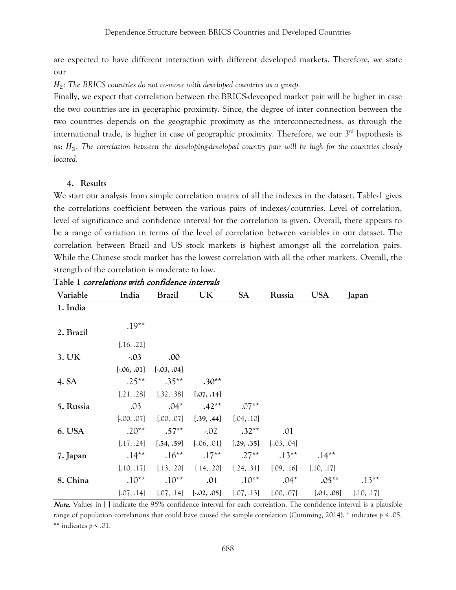are expected to have different interaction with different developed markets. Therefore, we state our

H<sub>2</sub>: The BRICS countries do not co-move with developed countries as a group.

Finally, we expect that correlation between the BRICS-deveoped market pair will be higher in case the two countries are in geographic proximity. Since, the degree of inter connection between the two countries depends on the geographic proximity as the interconnectedness, as through the international trade, is higher in case of geographic proximity. Therefore, we our  $3<sup>rd</sup>$  hypothesis is as: H<sub>3</sub>: The correlation between the developing-developed country pair will be high for the countries closely *located.* 

### **4. Results**

We start our analysis from simple correlation matrix of all the indexes in the dataset. Table-1 gives the correlations coefficient between the various pairs of indexes/coutnries. Level of correlation, level of significance and confidence interval for the correlation is given. Overall, there appears to be a range of variation in terms of the level of correlation between variables in our dataset. The correlation between Brazil and US stock markets is highest amongst all the correlation pairs. While the Chinese stock market has the lowest correlation with all the other markets. Overall, the strength of the correlation is moderate to low.

| Variable  | India         | <b>Brazil</b>   | UK                        | <b>SA</b>  | Russia          | <b>USA</b> | Japan      |
|-----------|---------------|-----------------|---------------------------|------------|-----------------|------------|------------|
| 1. India  |               |                 |                           |            |                 |            |            |
| 2. Brazil | $.19**$       |                 |                           |            |                 |            |            |
|           | [.16, .22]    |                 |                           |            |                 |            |            |
| 3. UK     | $-0.03$       | .00             |                           |            |                 |            |            |
|           | $[-.06, .01]$ | $[-0.03, 0.04]$ |                           |            |                 |            |            |
| 4. SA     | $.25***$      | $.35***$        | $.30**$                   |            |                 |            |            |
|           | [.21, .28]    | [.32, .38]      | [.07, .14]                |            |                 |            |            |
| 5. Russia | .03           | $.04*$          | $.42**$                   | $.07**$    |                 |            |            |
|           | $[-.00, .07]$ | [.00, .07]      | [.39, .44]                | [.04, .10] |                 |            |            |
| 6. USA    | $.20**$       | $.57**$         | $-0.02$                   | $.32**$    | .01             |            |            |
|           | [.17, .24]    | [.54, .59]      | $[-0.06, 0.01]$           | [.29, .35] | $[-0.03, 0.04]$ |            |            |
| 7. Japan  | $.14***$      | $.16***$        | $.17**$                   | $.27**$    | $.13***$        | $.14***$   |            |
|           | [.10, .17]    | [.13, .20]      | [.14, .20]                | [.24, .31] | [.09, .16]      | [.10, .17] |            |
| 8. China  | $.10**$       | $.10**$         | .01                       | $.10**$    | $.04*$          | $.05**$    | $.13**$    |
|           | [.07, .14]    |                 | $[.07, .14]$ $[.02, .05]$ | [.07, .13] | [.00, .07]      | [.01, .08] | [.10, .17] |

**Table 1** correlations with confidence intervals

Note. Values in [ ] indicate the 95% confidence interval for each correlation. The confidence interval is a plausible range of population correlations that could have caused the sample correlation (Cumming, 2014). \* indicates *p* < .05. \*\* indicates *p* < .01.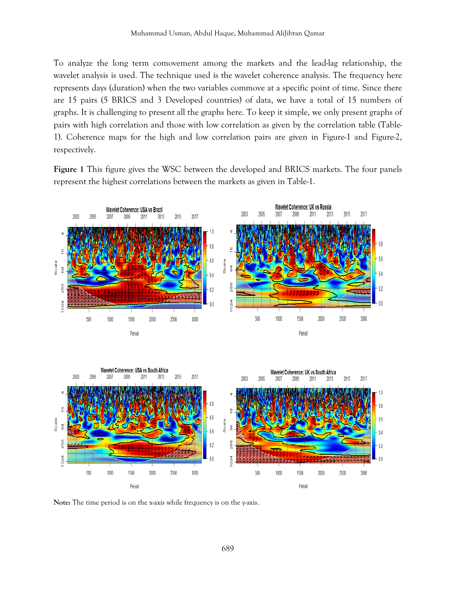To analyze the long term comovement among the markets and the lead-lag relationship, the wavelet analysis is used. The technique used is the wavelet coherence analysis. The frequency here represents days (duration) when the two variables commove at a specific point of time. Since there are 15 pairs (5 BRICS and 3 Developed countries) of data, we have a total of 15 numbers of graphs. It is challenging to present all the graphs here. To keep it simple, we only present graphs of pairs with high correlation and those with low correlation as given by the correlation table (Table-1). Coherence maps for the high and low correlation pairs are given in Figure-1 and Figure-2, respectively.

**Figure 1** This figure gives the WSC between the developed and BRICS markets. The four panels represent the highest correlations between the markets as given in Table-1.



**Note:** The time period is on the x-axis while frequency is on the y-axis.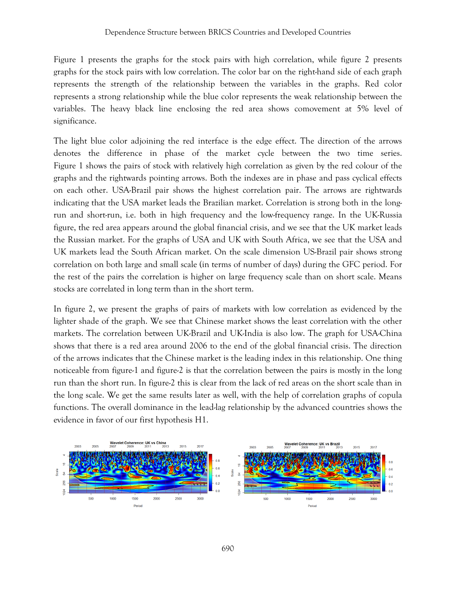Figure 1 presents the graphs for the stock pairs with high correlation, while figure 2 presents graphs for the stock pairs with low correlation. The color bar on the right-hand side of each graph represents the strength of the relationship between the variables in the graphs. Red color represents a strong relationship while the blue color represents the weak relationship between the variables. The heavy black line enclosing the red area shows comovement at 5% level of significance.

The light blue color adjoining the red interface is the edge effect. The direction of the arrows denotes the difference in phase of the market cycle between the two time series. Figure 1 shows the pairs of stock with relatively high correlation as given by the red colour of the graphs and the rightwards pointing arrows. Both the indexes are in phase and pass cyclical effects on each other. USA-Brazil pair shows the highest correlation pair. The arrows are rightwards indicating that the USA market leads the Brazilian market. Correlation is strong both in the longrun and short-run, i.e. both in high frequency and the low-frequency range. In the UK-Russia figure, the red area appears around the global financial crisis, and we see that the UK market leads the Russian market. For the graphs of USA and UK with South Africa, we see that the USA and UK markets lead the South African market. On the scale dimension US-Brazil pair shows strong correlation on both large and small scale (in terms of number of days) during the GFC period. For the rest of the pairs the correlation is higher on large frequency scale than on short scale. Means stocks are correlated in long term than in the short term.

In figure 2, we present the graphs of pairs of markets with low correlation as evidenced by the lighter shade of the graph. We see that Chinese market shows the least correlation with the other markets. The correlation between UK-Brazil and UK-India is also low. The graph for USA-China shows that there is a red area around 2006 to the end of the global financial crisis. The direction of the arrows indicates that the Chinese market is the leading index in this relationship. One thing noticeable from figure-1 and figure-2 is that the correlation between the pairs is mostly in the long run than the short run. In figure-2 this is clear from the lack of red areas on the short scale than in the long scale. We get the same results later as well, with the help of correlation graphs of copula functions. The overall dominance in the lead-lag relationship by the advanced countries shows the evidence in favor of our first hypothesis H1.

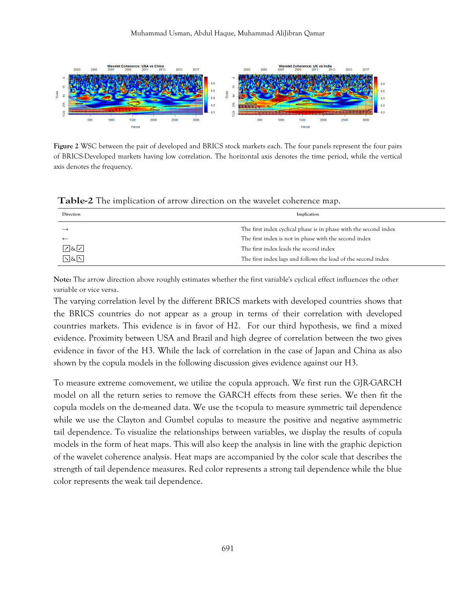

**Figure 2** WSC between the pair of developed and BRICS stock markets each. The four panels represent the four pairs of BRICS-Developed markets having low correlation. The horizontal axis denotes the time period, while the vertical axis denotes the frequency.

| Direction | Implication                                                      |
|-----------|------------------------------------------------------------------|
|           | The first index cyclical phase is in phase with the second index |
|           | The first index is not in phase with the second index            |
| 7&7       | The first index leads the second index                           |
| নি&নি     | The first index lags and follows the lead of the second index    |

**Table-2** The implication of arrow direction on the wavelet coherence map.

**Note:** The arrow direction above roughly estimates whether the first variable's cyclical effect influences the other variable or vice versa.

The varying correlation level by the different BRICS markets with developed countries shows that the BRICS countries do not appear as a group in terms of their correlation with developed countries markets. This evidence is in favor of H2. For our third hypothesis, we find a mixed evidence. Proximity between USA and Brazil and high degree of correlation between the two gives evidence in favor of the H3. While the lack of correlation in the case of Japan and China as also shown by the copula models in the following discussion gives evidence against our H3.

To measure extreme comovement, we utilize the copula approach. We first run the GJR-GARCH model on all the return series to remove the GARCH effects from these series. We then fit the copula models on the de-meaned data. We use the t-copula to measure symmetric tail dependence while we use the Clayton and Gumbel copulas to measure the positive and negative asymmetric tail dependence. To visualize the relationships between variables, we display the results of copula models in the form of heat maps. This will also keep the analysis in line with the graphic depiction of the wavelet coherence analysis. Heat maps are accompanied by the color scale that describes the strength of tail dependence measures. Red color represents a strong tail dependence while the blue color represents the weak tail dependence.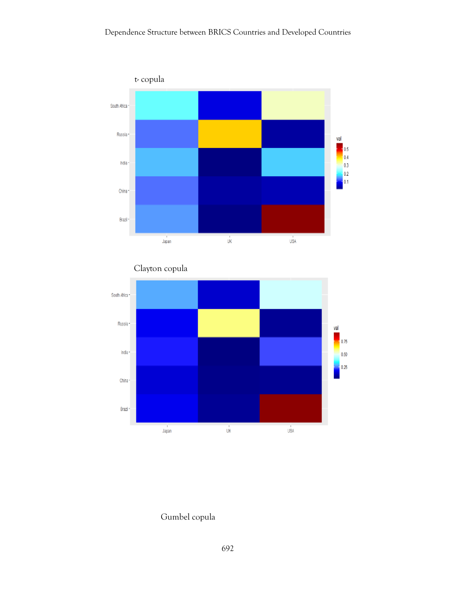



Clayton copula

# Gumbel copula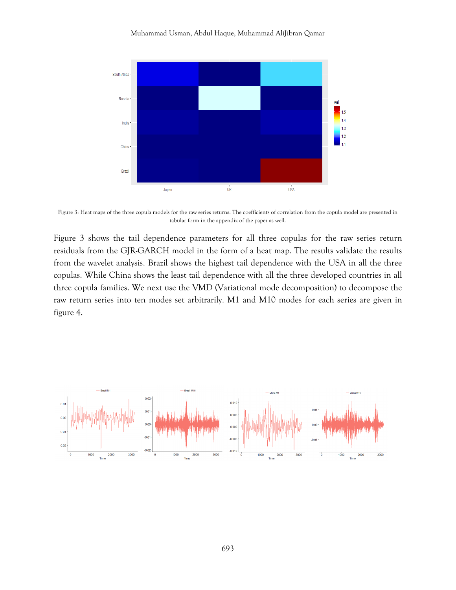

Figure 3: Heat maps of the three copula models for the raw series returns. The coefficients of correlation from the copula model are presented in tabular form in the appendix of the paper as well.

Figure 3 shows the tail dependence parameters for all three copulas for the raw series return residuals from the GJR-GARCH model in the form of a heat map. The results validate the results from the wavelet analysis. Brazil shows the highest tail dependence with the USA in all the three copulas. While China shows the least tail dependence with all the three developed countries in all three copula families. We next use the VMD (Variational mode decomposition) to decompose the raw return series into ten modes set arbitrarily. M1 and M10 modes for each series are given in figure 4.

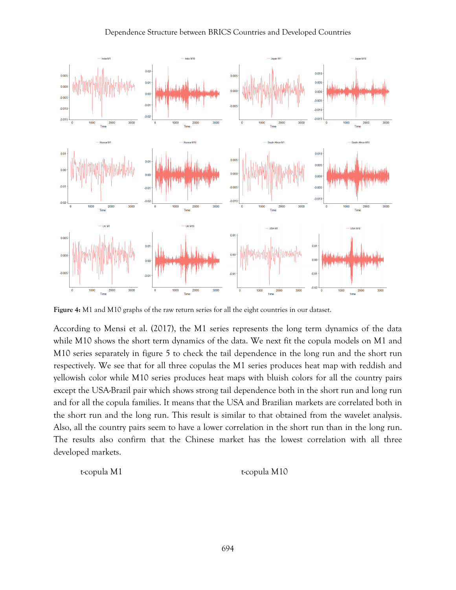#### Dependence Structure between BRICS Countries and Developed Countries



**Figure 4:** M1 and M10 graphs of the raw return series for all the eight countries in our dataset.

According to Mensi et al. (2017), the M1 series represents the long term dynamics of the data while M10 shows the short term dynamics of the data. We next fit the copula models on M1 and M10 series separately in figure 5 to check the tail dependence in the long run and the short run respectively. We see that for all three copulas the M1 series produces heat map with reddish and yellowish color while M10 series produces heat maps with bluish colors for all the country pairs except the USA-Brazil pair which shows strong tail dependence both in the short run and long run and for all the copula families. It means that the USA and Brazilian markets are correlated both in the short run and the long run. This result is similar to that obtained from the wavelet analysis. Also, all the country pairs seem to have a lower correlation in the short run than in the long run. The results also confirm that the Chinese market has the lowest correlation with all three developed markets.

t-copula M1 t-copula M10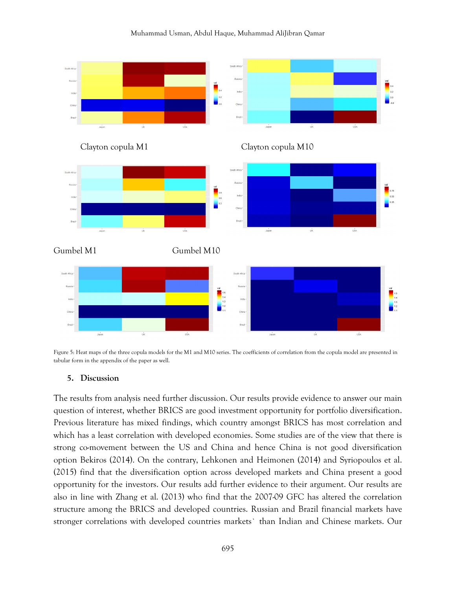#### Muhammad Usman, Abdul Haque, Muhammad AliJibran Qamar



Figure 5: Heat maps of the three copula models for the M1 and M10 series. The coefficients of correlation from the copula model are presented in tabular form in the appendix of the paper as well.

#### **5. Discussion**

The results from analysis need further discussion. Our results provide evidence to answer our main question of interest, whether BRICS are good investment opportunity for portfolio diversification. Previous literature has mixed findings, which country amongst BRICS has most correlation and which has a least correlation with developed economies. Some studies are of the view that there is strong co-movement between the US and China and hence China is not good diversification option Bekiros (2014). On the contrary, Lehkonen and Heimonen (2014) and Syriopoulos et al. (2015) find that the diversification option across developed markets and China present a good opportunity for the investors. Our results add further evidence to their argument. Our results are also in line with Zhang et al. (2013) who find that the 2007-09 GFC has altered the correlation structure among the BRICS and developed countries. Russian and Brazil financial markets have stronger correlations with developed countries markets` than Indian and Chinese markets. Our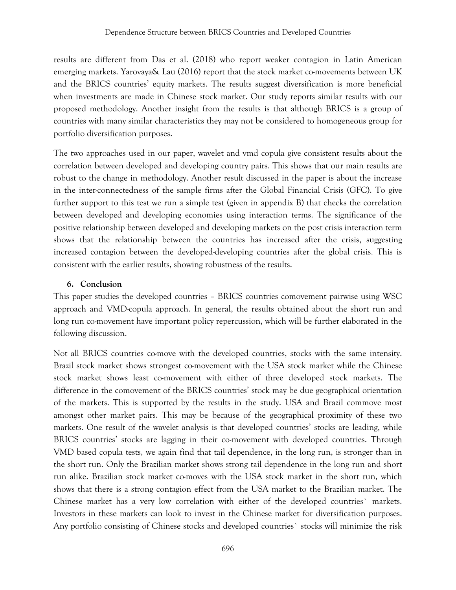results are different from Das et al. (2018) who report weaker contagion in Latin American emerging markets. Yarovaya& Lau (2016) report that the stock market co-movements between UK and the BRICS countries' equity markets. The results suggest diversification is more beneficial when investments are made in Chinese stock market. Our study reports similar results with our proposed methodology. Another insight from the results is that although BRICS is a group of countries with many similar characteristics they may not be considered to homogeneous group for portfolio diversification purposes.

The two approaches used in our paper, wavelet and vmd copula give consistent results about the correlation between developed and developing country pairs. This shows that our main results are robust to the change in methodology. Another result discussed in the paper is about the increase in the inter-connectedness of the sample firms after the Global Financial Crisis (GFC). To give further support to this test we run a simple test (given in appendix B) that checks the correlation between developed and developing economies using interaction terms. The significance of the positive relationship between developed and developing markets on the post crisis interaction term shows that the relationship between the countries has increased after the crisis, suggesting increased contagion between the developed-developing countries after the global crisis. This is consistent with the earlier results, showing robustness of the results.

# **6. Conclusion**

This paper studies the developed countries – BRICS countries comovement pairwise using WSC approach and VMD-copula approach. In general, the results obtained about the short run and long run co-movement have important policy repercussion, which will be further elaborated in the following discussion.

Not all BRICS countries co-move with the developed countries, stocks with the same intensity. Brazil stock market shows strongest co-movement with the USA stock market while the Chinese stock market shows least co-movement with either of three developed stock markets. The difference in the comovement of the BRICS countries' stock may be due geographical orientation of the markets. This is supported by the results in the study. USA and Brazil commove most amongst other market pairs. This may be because of the geographical proximity of these two markets. One result of the wavelet analysis is that developed countries' stocks are leading, while BRICS countries' stocks are lagging in their co-movement with developed countries. Through VMD based copula tests, we again find that tail dependence, in the long run, is stronger than in the short run. Only the Brazilian market shows strong tail dependence in the long run and short run alike. Brazilian stock market co-moves with the USA stock market in the short run, which shows that there is a strong contagion effect from the USA market to the Brazilian market. The Chinese market has a very low correlation with either of the developed countries` markets. Investors in these markets can look to invest in the Chinese market for diversification purposes. Any portfolio consisting of Chinese stocks and developed countries` stocks will minimize the risk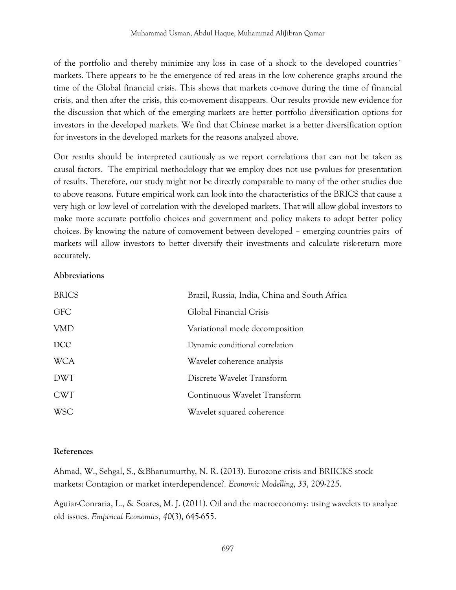of the portfolio and thereby minimize any loss in case of a shock to the developed countries` markets. There appears to be the emergence of red areas in the low coherence graphs around the time of the Global financial crisis. This shows that markets co-move during the time of financial crisis, and then after the crisis, this co-movement disappears. Our results provide new evidence for the discussion that which of the emerging markets are better portfolio diversification options for investors in the developed markets. We find that Chinese market is a better diversification option for investors in the developed markets for the reasons analyzed above.

Our results should be interpreted cautiously as we report correlations that can not be taken as causal factors. The empirical methodology that we employ does not use p-values for presentation of results. Therefore, our study might not be directly comparable to many of the other studies due to above reasons. Future empirical work can look into the characteristics of the BRICS that cause a very high or low level of correlation with the developed markets. That will allow global investors to make more accurate portfolio choices and government and policy makers to adopt better policy choices. By knowing the nature of comovement between developed – emerging countries pairs of markets will allow investors to better diversify their investments and calculate risk-return more accurately.

### **Abbreviations**

| <b>BRICS</b> | Brazil, Russia, India, China and South Africa |
|--------------|-----------------------------------------------|
| <b>GFC</b>   | Global Financial Crisis                       |
| <b>VMD</b>   | Variational mode decomposition                |
| <b>DCC</b>   | Dynamic conditional correlation               |
| <b>WCA</b>   | Wavelet coherence analysis                    |
| <b>DWT</b>   | Discrete Wavelet Transform                    |
| <b>CWT</b>   | Continuous Wavelet Transform                  |
| <b>WSC</b>   | Wavelet squared coherence                     |

### **References**

Ahmad, W., Sehgal, S., &Bhanumurthy, N. R. (2013). Eurozone crisis and BRIICKS stock markets: Contagion or market interdependence?. *Economic Modelling*, *33*, 209-225.

Aguiar-Conraria, L., & Soares, M. J. (2011). Oil and the macroeconomy: using wavelets to analyze old issues. *Empirical Economics*, *40*(3), 645-655.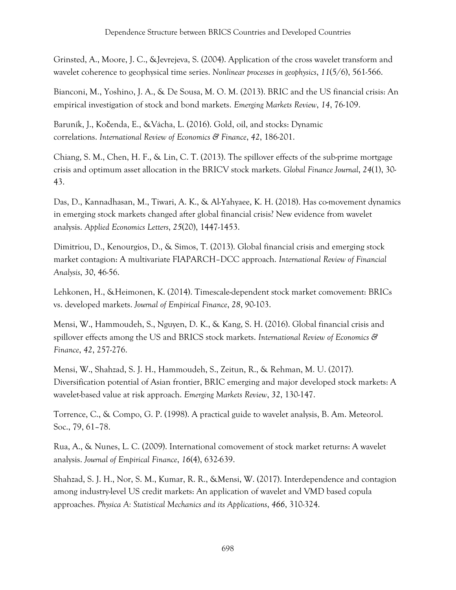Grinsted, A., Moore, J. C., &Jevrejeva, S. (2004). Application of the cross wavelet transform and wavelet coherence to geophysical time series. *Nonlinear processes in geophysics*, *11*(5/6), 561-566.

Bianconi, M., Yoshino, J. A., & De Sousa, M. O. M. (2013). BRIC and the US financial crisis: An empirical investigation of stock and bond markets. *Emerging Markets Review*, *14*, 76-109.

Baruník, J., Kočenda, E., &Vácha, L. (2016). Gold, oil, and stocks: Dynamic correlations. *International Review of Economics & Finance*, *42*, 186-201.

Chiang, S. M., Chen, H. F., & Lin, C. T. (2013). The spillover effects of the sub-prime mortgage crisis and optimum asset allocation in the BRICV stock markets. *Global Finance Journal*, *24*(1), 30- 43.

Das, D., Kannadhasan, M., Tiwari, A. K., & Al-Yahyaee, K. H. (2018). Has co-movement dynamics in emerging stock markets changed after global financial crisis? New evidence from wavelet analysis. *Applied Economics Letters*, *25*(20), 1447-1453.

Dimitriou, D., Kenourgios, D., & Simos, T. (2013). Global financial crisis and emerging stock market contagion: A multivariate FIAPARCH–DCC approach. *International Review of Financial Analysis*, *30*, 46-56.

Lehkonen, H., &Heimonen, K. (2014). Timescale-dependent stock market comovement: BRICs vs. developed markets. *Journal of Empirical Finance*, *28*, 90-103.

Mensi, W., Hammoudeh, S., Nguyen, D. K., & Kang, S. H. (2016). Global financial crisis and spillover effects among the US and BRICS stock markets. *International Review of Economics & Finance*, *42*, 257-276.

Mensi, W., Shahzad, S. J. H., Hammoudeh, S., Zeitun, R., & Rehman, M. U. (2017). Diversification potential of Asian frontier, BRIC emerging and major developed stock markets: A wavelet-based value at risk approach. *Emerging Markets Review*, *32*, 130-147.

Torrence, C., & Compo, G. P. (1998). A practical guide to wavelet analysis, B. Am. Meteorol. Soc., 79, 61–78.

Rua, A., & Nunes, L. C. (2009). International comovement of stock market returns: A wavelet analysis. *Journal of Empirical Finance*, *16*(4), 632-639.

Shahzad, S. J. H., Nor, S. M., Kumar, R. R., &Mensi, W. (2017). Interdependence and contagion among industry-level US credit markets: An application of wavelet and VMD based copula approaches. *Physica A: Statistical Mechanics and its Applications*, *466*, 310-324.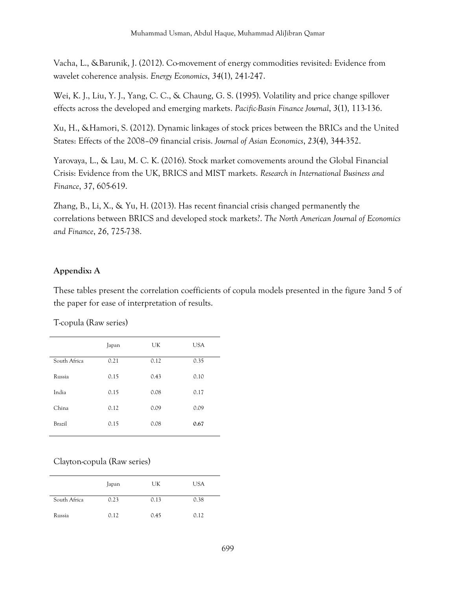Vacha, L., &Barunik, J. (2012). Co-movement of energy commodities revisited: Evidence from wavelet coherence analysis. *Energy Economics*, *34*(1), 241-247.

Wei, K. J., Liu, Y. J., Yang, C. C., & Chaung, G. S. (1995). Volatility and price change spillover effects across the developed and emerging markets. *Pacific-Basin Finance Journal*, *3*(1), 113-136.

Xu, H., &Hamori, S. (2012). Dynamic linkages of stock prices between the BRICs and the United States: Effects of the 2008–09 financial crisis. *Journal of Asian Economics*, *23*(4), 344-352.

Yarovaya, L., & Lau, M. C. K. (2016). Stock market comovements around the Global Financial Crisis: Evidence from the UK, BRICS and MIST markets. *Research in International Business and Finance*, *37*, 605-619.

Zhang, B., Li, X., & Yu, H. (2013). Has recent financial crisis changed permanently the correlations between BRICS and developed stock markets?. *The North American Journal of Economics and Finance*, *26*, 725-738.

### **Appendix: A**

These tables present the correlation coefficients of copula models presented in the figure 3and 5 of the paper for ease of interpretation of results.

T-copula (Raw series)

|              | Japan | UK   | <b>USA</b> |
|--------------|-------|------|------------|
| South Africa | 0.21  | 0.12 | 0.35       |
| Russia       | 0.15  | 0.43 | 0.10       |
| India        | 0.15  | 0.08 | 0.17       |
| China        | 0.12  | 0.09 | 0.09       |
| Brazil       | 0.15  | 0.08 | 0.67       |
|              |       |      |            |

# Clayton-copula (Raw series)

|              | Japan | UK   | <b>USA</b> |
|--------------|-------|------|------------|
| South Africa | 0.23  | 0.13 | 0.38       |
| Russia       | 0.12  | 0.45 | 0.12       |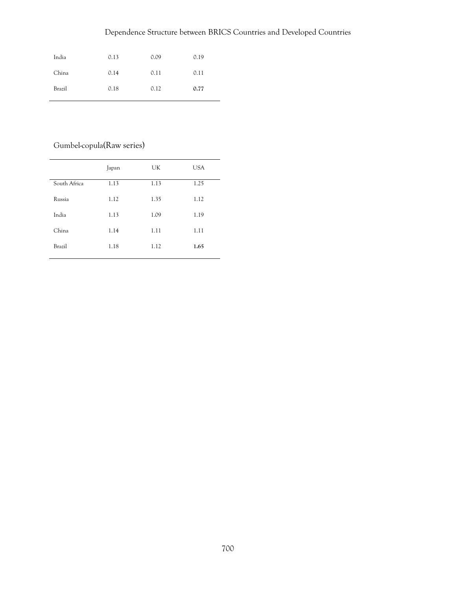# Dependence Structure between BRICS Countries and Developed Countries

| India  | 0.13 | 0.09 | 0.19 |
|--------|------|------|------|
| China  | 0.14 | 0.11 | 0.11 |
| Brazil | 0.18 | 0.12 | 0.77 |

# Gumbel-copula(Raw series)

|              | Japan | UK   | <b>USA</b> |
|--------------|-------|------|------------|
| South Africa | 1.13  | 1.13 | 1.25       |
| Russia       | 1.12  | 1.35 | 1.12       |
| India        | 1.13  | 1.09 | 1.19       |
| China        | 1.14  | 1.11 | 1.11       |
| Brazil       | 1.18  | 1.12 | 1.65       |
|              |       |      |            |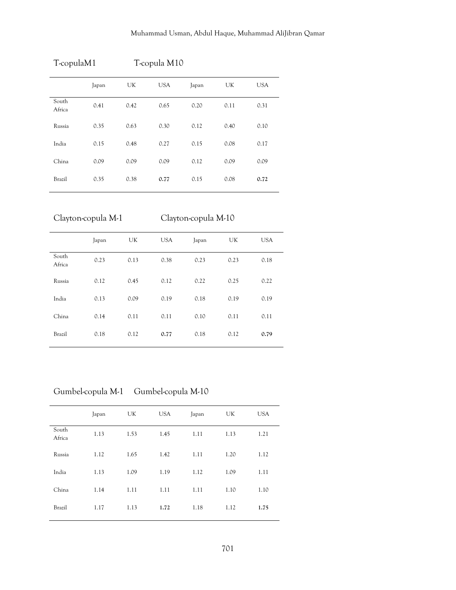|                 | T-copulaM1<br>T-copula M10 |      |            |       |      |            |
|-----------------|----------------------------|------|------------|-------|------|------------|
|                 | Japan                      | UK   | <b>USA</b> | Japan | UK   | <b>USA</b> |
| South<br>Africa | 0.41                       | 0.42 | 0.65       | 0.20  | 0.11 | 0.31       |
| Russia          | 0.35                       | 0.63 | 0.30       | 0.12  | 0.40 | 0.10       |
| India           | 0.15                       | 0.48 | 0.27       | 0.15  | 0.08 | 0.17       |
| China           | 0.09                       | 0.09 | 0.09       | 0.12  | 0.09 | 0.09       |
| Brazil          | 0.35                       | 0.38 | 0.77       | 0.15  | 0.08 | 0.72       |

Clayton-copula M-1 Clayton-copula M-10

|                 | Japan | UK   | <b>USA</b> | Japan | UK   | <b>USA</b> |
|-----------------|-------|------|------------|-------|------|------------|
| South<br>Africa | 0.23  | 0.13 | 0.38       | 0.23  | 0.23 | 0.18       |
| Russia          | 0.12  | 0.45 | 0.12       | 0.22  | 0.25 | 0.22       |
| India           | 0.13  | 0.09 | 0.19       | 0.18  | 0.19 | 0.19       |
| China           | 0.14  | 0.11 | 0.11       | 0.10  | 0.11 | 0.11       |
| <b>Brazil</b>   | 0.18  | 0.12 | 0.77       | 0.18  | 0.12 | 0.79       |

Gumbel-copula M-1 Gumbel-copula M-10

|                 | Japan | UK   | <b>USA</b> | Japan | UK   | <b>USA</b> |
|-----------------|-------|------|------------|-------|------|------------|
| South<br>Africa | 1.13  | 1.53 | 1.45       | 1.11  | 1.13 | 1.21       |
| Russia          | 1.12  | 1.65 | 1.42       | 1.11  | 1.20 | 1.12       |
| India           | 1.13  | 1.09 | 1.19       | 1.12  | 1.09 | 1.11       |
| China           | 1.14  | 1.11 | 1.11       | 1.11  | 1.10 | 1.10       |
| <b>Brazil</b>   | 1.17  | 1.13 | 1.72       | 1.18  | 1.12 | 1.75       |